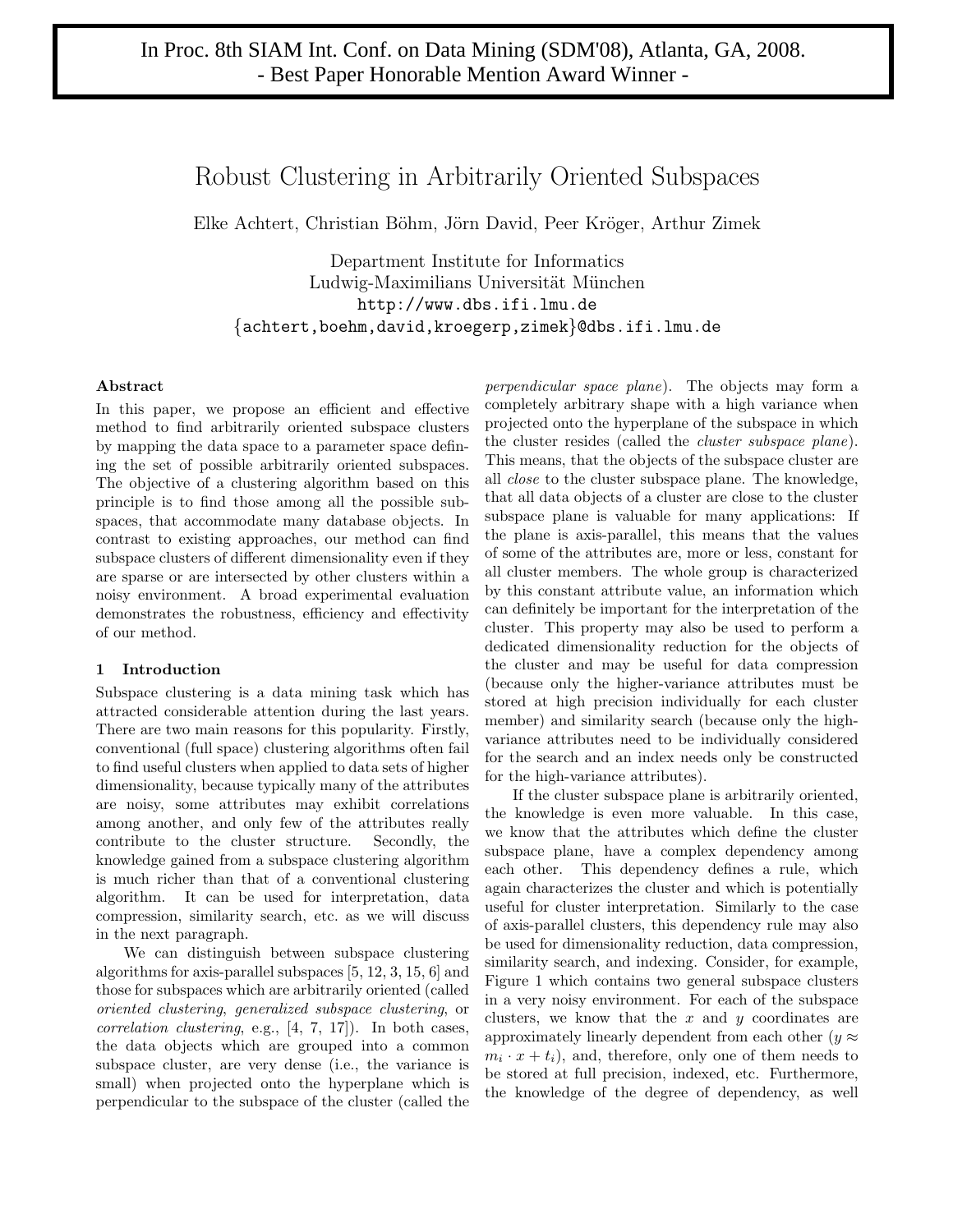# Robust Clustering in Arbitrarily Oriented Subspaces

Elke Achtert, Christian Böhm, Jörn David, Peer Kröger, Arthur Zimek

Department Institute for Informatics Ludwig-Maximilians Universität München http://www.dbs.ifi.lmu.de {achtert,boehm,david,kroegerp,zimek}@dbs.ifi.lmu.de

# **Abstract**

In this paper, we propose an efficient and effective method to find arbitrarily oriented subspace clusters by mapping the data space to a parameter space defining the set of possible arbitrarily oriented subspaces. The objective of a clustering algorithm based on this principle is to find those among all the possible subspaces, that accommodate many database objects. In contrast to existing approaches, our method can find subspace clusters of different dimensionality even if they are sparse or are intersected by other clusters within a noisy environment. A broad experimental evaluation demonstrates the robustness, efficiency and effectivity of our method.

# **1 Introduction**

Subspace clustering is a data mining task which has attracted considerable attention during the last years. There are two main reasons for this popularity. Firstly, conventional (full space) clustering algorithms often fail to find useful clusters when applied to data sets of higher dimensionality, because typically many of the attributes are noisy, some attributes may exhibit correlations among another, and only few of the attributes really contribute to the cluster structure. Secondly, the knowledge gained from a subspace clustering algorithm is much richer than that of a conventional clustering algorithm. It can be used for interpretation, data compression, similarity search, etc. as we will discuss in the next paragraph.

We can distinguish between subspace clustering algorithms for axis-parallel subspaces [5, 12, 3, 15, 6] and those for subspaces which are arbitrarily oriented (called oriented clustering, generalized subspace clustering, or correlation clustering, e.g., [4, 7, 17]). In both cases, the data objects which are grouped into a common subspace cluster, are very dense (i.e., the variance is small) when projected onto the hyperplane which is perpendicular to the subspace of the cluster (called the perpendicular space plane). The objects may form a completely arbitrary shape with a high variance when projected onto the hyperplane of the subspace in which the cluster resides (called the *cluster subspace plane*). This means, that the objects of the subspace cluster are all close to the cluster subspace plane. The knowledge, that all data objects of a cluster are close to the cluster subspace plane is valuable for many applications: If the plane is axis-parallel, this means that the values of some of the attributes are, more or less, constant for all cluster members. The whole group is characterized by this constant attribute value, an information which can definitely be important for the interpretation of the cluster. This property may also be used to perform a dedicated dimensionality reduction for the objects of the cluster and may be useful for data compression (because only the higher-variance attributes must be stored at high precision individually for each cluster member) and similarity search (because only the highvariance attributes need to be individually considered for the search and an index needs only be constructed for the high-variance attributes).

If the cluster subspace plane is arbitrarily oriented, the knowledge is even more valuable. In this case, we know that the attributes which define the cluster subspace plane, have a complex dependency among each other. This dependency defines a rule, which again characterizes the cluster and which is potentially useful for cluster interpretation. Similarly to the case of axis-parallel clusters, this dependency rule may also be used for dimensionality reduction, data compression, similarity search, and indexing. Consider, for example, Figure 1 which contains two general subspace clusters in a very noisy environment. For each of the subspace clusters, we know that the  $x$  and  $y$  coordinates are approximately linearly dependent from each other ( $y \approx$  $m_i \cdot x + t_i$ , and, therefore, only one of them needs to be stored at full precision, indexed, etc. Furthermore, the knowledge of the degree of dependency, as well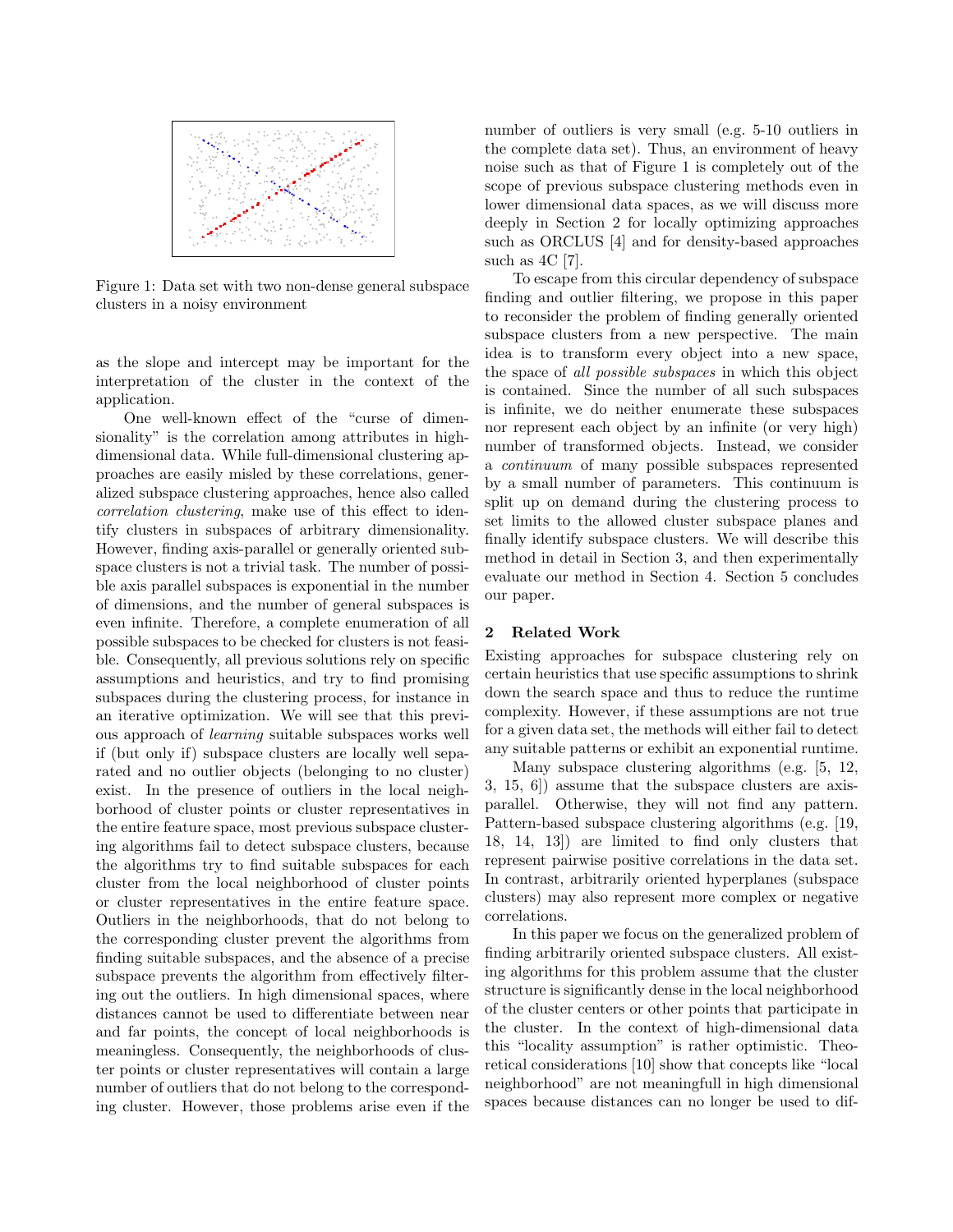

Figure 1: Data set with two non-dense general subspace clusters in a noisy environment

as the slope and intercept may be important for the interpretation of the cluster in the context of the application.

One well-known effect of the "curse of dimensionality" is the correlation among attributes in highdimensional data. While full-dimensional clustering approaches are easily misled by these correlations, generalized subspace clustering approaches, hence also called correlation clustering, make use of this effect to identify clusters in subspaces of arbitrary dimensionality. However, finding axis-parallel or generally oriented subspace clusters is not a trivial task. The number of possible axis parallel subspaces is exponential in the number of dimensions, and the number of general subspaces is even infinite. Therefore, a complete enumeration of all possible subspaces to be checked for clusters is not feasible. Consequently, all previous solutions rely on specific assumptions and heuristics, and try to find promising subspaces during the clustering process, for instance in an iterative optimization. We will see that this previous approach of learning suitable subspaces works well if (but only if) subspace clusters are locally well separated and no outlier objects (belonging to no cluster) exist. In the presence of outliers in the local neighborhood of cluster points or cluster representatives in the entire feature space, most previous subspace clustering algorithms fail to detect subspace clusters, because the algorithms try to find suitable subspaces for each cluster from the local neighborhood of cluster points or cluster representatives in the entire feature space. Outliers in the neighborhoods, that do not belong to the corresponding cluster prevent the algorithms from finding suitable subspaces, and the absence of a precise subspace prevents the algorithm from effectively filtering out the outliers. In high dimensional spaces, where distances cannot be used to differentiate between near and far points, the concept of local neighborhoods is meaningless. Consequently, the neighborhoods of cluster points or cluster representatives will contain a large number of outliers that do not belong to the corresponding cluster. However, those problems arise even if the

number of outliers is very small (e.g. 5-10 outliers in the complete data set). Thus, an environment of heavy noise such as that of Figure 1 is completely out of the scope of previous subspace clustering methods even in lower dimensional data spaces, as we will discuss more deeply in Section 2 for locally optimizing approaches such as ORCLUS [4] and for density-based approaches such as  $4C$  [7].

To escape from this circular dependency of subspace finding and outlier filtering, we propose in this paper to reconsider the problem of finding generally oriented subspace clusters from a new perspective. The main idea is to transform every object into a new space, the space of all possible subspaces in which this object is contained. Since the number of all such subspaces is infinite, we do neither enumerate these subspaces nor represent each object by an infinite (or very high) number of transformed objects. Instead, we consider a continuum of many possible subspaces represented by a small number of parameters. This continuum is split up on demand during the clustering process to set limits to the allowed cluster subspace planes and finally identify subspace clusters. We will describe this method in detail in Section 3, and then experimentally evaluate our method in Section 4. Section 5 concludes our paper.

# **2 Related Work**

Existing approaches for subspace clustering rely on certain heuristics that use specific assumptions to shrink down the search space and thus to reduce the runtime complexity. However, if these assumptions are not true for a given data set, the methods will either fail to detect any suitable patterns or exhibit an exponential runtime.

Many subspace clustering algorithms (e.g. [5, 12, 3, 15, 6]) assume that the subspace clusters are axisparallel. Otherwise, they will not find any pattern. Pattern-based subspace clustering algorithms (e.g. [19, 18, 14, 13]) are limited to find only clusters that represent pairwise positive correlations in the data set. In contrast, arbitrarily oriented hyperplanes (subspace clusters) may also represent more complex or negative correlations.

In this paper we focus on the generalized problem of finding arbitrarily oriented subspace clusters. All existing algorithms for this problem assume that the cluster structure is significantly dense in the local neighborhood of the cluster centers or other points that participate in the cluster. In the context of high-dimensional data this "locality assumption" is rather optimistic. Theoretical considerations [10] show that concepts like "local neighborhood" are not meaningfull in high dimensional spaces because distances can no longer be used to dif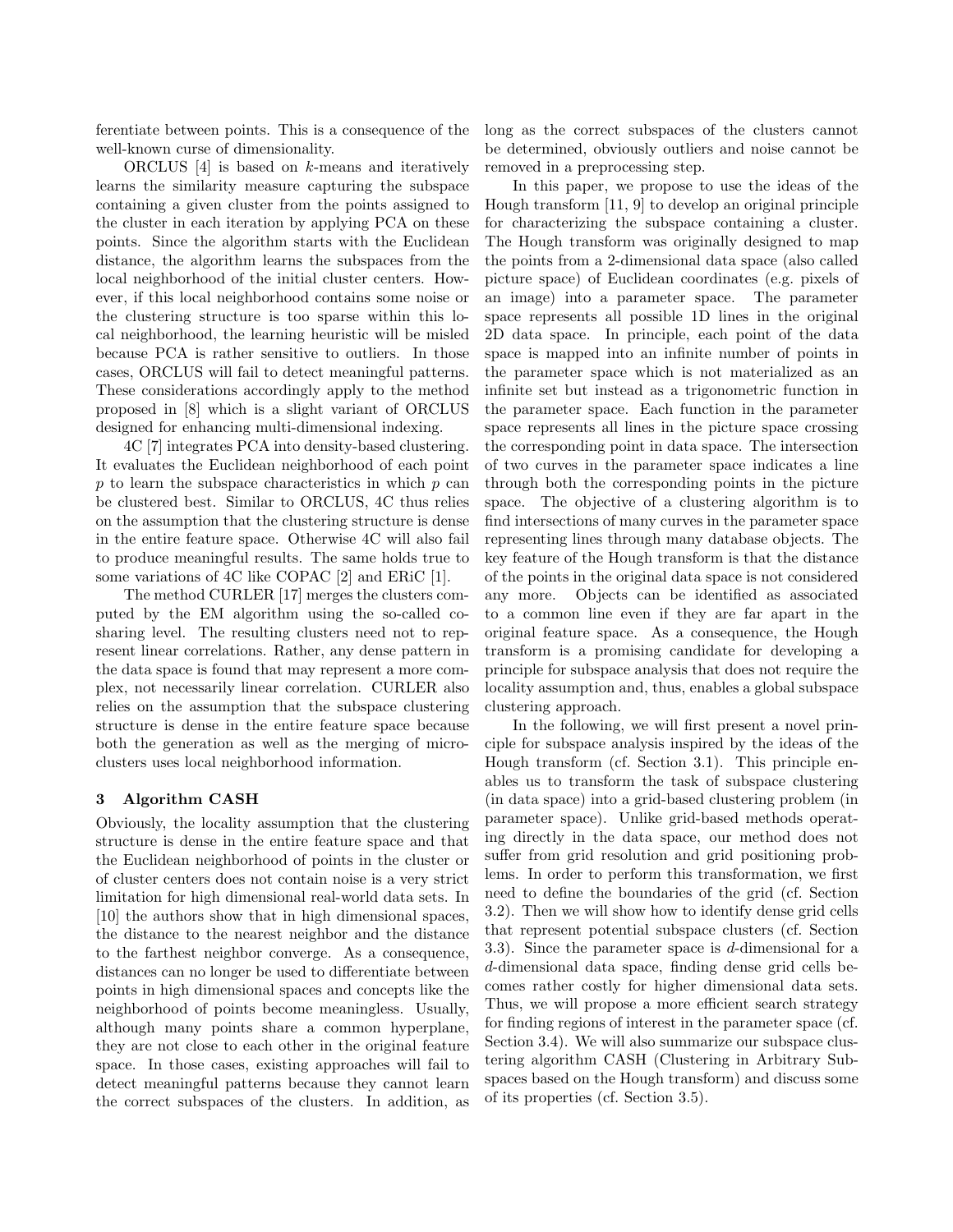ferentiate between points. This is a consequence of the well-known curse of dimensionality.

ORCLUS [4] is based on k-means and iteratively learns the similarity measure capturing the subspace containing a given cluster from the points assigned to the cluster in each iteration by applying PCA on these points. Since the algorithm starts with the Euclidean distance, the algorithm learns the subspaces from the local neighborhood of the initial cluster centers. However, if this local neighborhood contains some noise or the clustering structure is too sparse within this local neighborhood, the learning heuristic will be misled because PCA is rather sensitive to outliers. In those cases, ORCLUS will fail to detect meaningful patterns. These considerations accordingly apply to the method proposed in [8] which is a slight variant of ORCLUS designed for enhancing multi-dimensional indexing.

4C [7] integrates PCA into density-based clustering. It evaluates the Euclidean neighborhood of each point p to learn the subspace characteristics in which p can be clustered best. Similar to ORCLUS, 4C thus relies on the assumption that the clustering structure is dense in the entire feature space. Otherwise 4C will also fail to produce meaningful results. The same holds true to some variations of 4C like COPAC [2] and ERiC [1].

The method CURLER [17] merges the clusters computed by the EM algorithm using the so-called cosharing level. The resulting clusters need not to represent linear correlations. Rather, any dense pattern in the data space is found that may represent a more complex, not necessarily linear correlation. CURLER also relies on the assumption that the subspace clustering structure is dense in the entire feature space because both the generation as well as the merging of microclusters uses local neighborhood information.

# **3 Algorithm CASH**

Obviously, the locality assumption that the clustering structure is dense in the entire feature space and that the Euclidean neighborhood of points in the cluster or of cluster centers does not contain noise is a very strict limitation for high dimensional real-world data sets. In [10] the authors show that in high dimensional spaces, the distance to the nearest neighbor and the distance to the farthest neighbor converge. As a consequence, distances can no longer be used to differentiate between points in high dimensional spaces and concepts like the neighborhood of points become meaningless. Usually, although many points share a common hyperplane, they are not close to each other in the original feature space. In those cases, existing approaches will fail to detect meaningful patterns because they cannot learn the correct subspaces of the clusters. In addition, as long as the correct subspaces of the clusters cannot be determined, obviously outliers and noise cannot be removed in a preprocessing step.

In this paper, we propose to use the ideas of the Hough transform [11, 9] to develop an original principle for characterizing the subspace containing a cluster. The Hough transform was originally designed to map the points from a 2-dimensional data space (also called picture space) of Euclidean coordinates (e.g. pixels of an image) into a parameter space. The parameter space represents all possible 1D lines in the original 2D data space. In principle, each point of the data space is mapped into an infinite number of points in the parameter space which is not materialized as an infinite set but instead as a trigonometric function in the parameter space. Each function in the parameter space represents all lines in the picture space crossing the corresponding point in data space. The intersection of two curves in the parameter space indicates a line through both the corresponding points in the picture space. The objective of a clustering algorithm is to find intersections of many curves in the parameter space representing lines through many database objects. The key feature of the Hough transform is that the distance of the points in the original data space is not considered any more. Objects can be identified as associated to a common line even if they are far apart in the original feature space. As a consequence, the Hough transform is a promising candidate for developing a principle for subspace analysis that does not require the locality assumption and, thus, enables a global subspace clustering approach.

In the following, we will first present a novel principle for subspace analysis inspired by the ideas of the Hough transform (cf. Section 3.1). This principle enables us to transform the task of subspace clustering (in data space) into a grid-based clustering problem (in parameter space). Unlike grid-based methods operating directly in the data space, our method does not suffer from grid resolution and grid positioning problems. In order to perform this transformation, we first need to define the boundaries of the grid (cf. Section 3.2). Then we will show how to identify dense grid cells that represent potential subspace clusters (cf. Section 3.3). Since the parameter space is d-dimensional for a d-dimensional data space, finding dense grid cells becomes rather costly for higher dimensional data sets. Thus, we will propose a more efficient search strategy for finding regions of interest in the parameter space (cf. Section 3.4). We will also summarize our subspace clustering algorithm CASH (Clustering in Arbitrary Subspaces based on the Hough transform) and discuss some of its properties (cf. Section 3.5).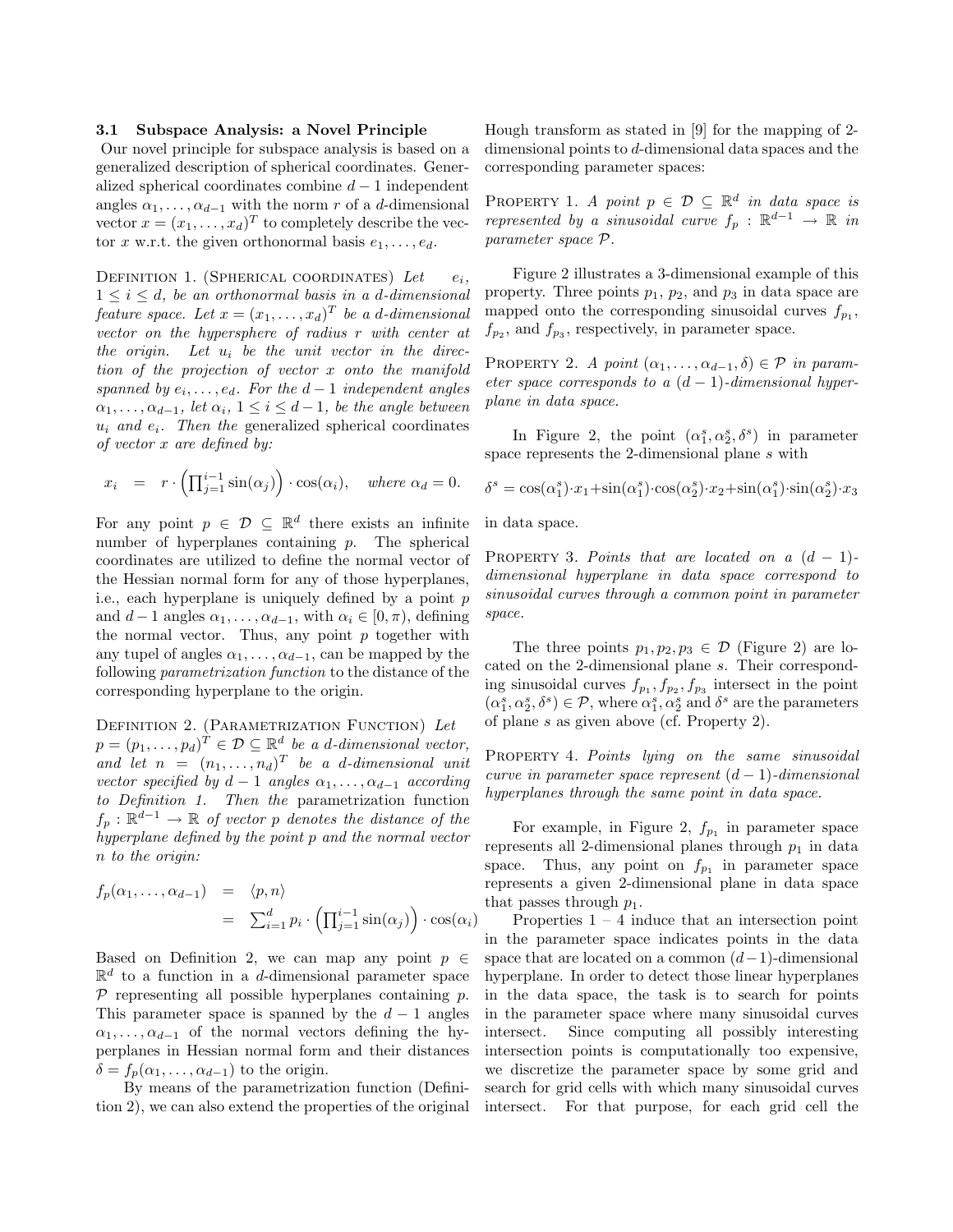## **3.1 Subspace Analysis: a Novel Principle**

Our novel principle for subspace analysis is based on a generalized description of spherical coordinates. Generalized spherical coordinates combine  $d-1$  independent angles  $\alpha_1, \ldots, \alpha_{d-1}$  with the norm r of a d-dimensional vector  $x = (x_1, \ldots, x_d)^T$  to completely describe the vector x w.r.t. the given orthonormal basis  $e_1, \ldots, e_d$ .

DEFINITION 1. (SPHERICAL COORDINATES) Let  $e_i$ ,  $1 \leq i \leq d$ , be an orthonormal basis in a d-dimensional feature space. Let  $x = (x_1, \ldots, x_d)^T$  be a d-dimensional vector on the hypersphere of radius r with center at the origin. Let  $u_i$  be the unit vector in the direction of the projection of vector x onto the manifold spanned by  $e_i, \ldots, e_d$ . For the  $d-1$  independent angles  $\alpha_1, \ldots, \alpha_{d-1}$ , let  $\alpha_i, 1 \leq i \leq d-1$ , be the angle between  $u_i$  and  $e_i$ . Then the generalized spherical coordinates of vector x are defined by:

$$
x_i = r \cdot \left( \prod_{j=1}^{i-1} \sin(\alpha_j) \right) \cdot \cos(\alpha_i), \quad where \ \alpha_d = 0.
$$

For any point  $p \in \mathcal{D} \subset \mathbb{R}^d$  there exists an infinite number of hyperplanes containing  $p$ . The spherical coordinates are utilized to define the normal vector of the Hessian normal form for any of those hyperplanes, i.e., each hyperplane is uniquely defined by a point  $p$ and  $d-1$  angles  $\alpha_1, \ldots, \alpha_{d-1}$ , with  $\alpha_i \in [0, \pi)$ , defining the normal vector. Thus, any point  $p$  together with any tupel of angles  $\alpha_1, \ldots, \alpha_{d-1}$ , can be mapped by the following parametrization function to the distance of the corresponding hyperplane to the origin.

DEFINITION 2. (PARAMETRIZATION FUNCTION) Let  $p = (p_1, \ldots, p_d)^T \in \mathcal{D} \subseteq \mathbb{R}^d$  be a d-dimensional vector, and let  $n = (n_1, \ldots, n_d)^T$  be a d-dimensional unit vector specified by  $d-1$  angles  $\alpha_1, \ldots, \alpha_{d-1}$  according to Definition 1. Then the parametrization function  $f_p : \mathbb{R}^{d-1} \to \mathbb{R}$  of vector p denotes the distance of the hyperplane defined by the point p and the normal vector n to the origin:

$$
f_p(\alpha_1, ..., \alpha_{d-1}) = \langle p, n \rangle
$$
  
=  $\sum_{i=1}^d p_i \cdot \left( \prod_{j=1}^{i-1} \sin(\alpha_j) \right) \cdot \cos(\alpha_i)$ 

Based on Definition 2, we can map any point  $p \in$  $\mathbb{R}^d$  to a function in a d-dimensional parameter space  $\mathcal P$  representing all possible hyperplanes containing  $p$ . This parameter space is spanned by the  $d-1$  angles  $\alpha_1,\ldots,\alpha_{d-1}$  of the normal vectors defining the hyperplanes in Hessian normal form and their distances  $\delta = f_p(\alpha_1,\ldots,\alpha_{d-1})$  to the origin.

By means of the parametrization function (Definition 2), we can also extend the properties of the original

Hough transform as stated in [9] for the mapping of 2 dimensional points to d-dimensional data spaces and the corresponding parameter spaces:

PROPERTY 1. A point  $p \in \mathcal{D} \subseteq \mathbb{R}^d$  in data space is represented by a sinusoidal curve  $f_p : \mathbb{R}^{d-1} \to \mathbb{R}$  in parameter space P.

Figure 2 illustrates a 3-dimensional example of this property. Three points  $p_1$ ,  $p_2$ , and  $p_3$  in data space are mapped onto the corresponding sinusoidal curves  $f_{p_1}$ ,  $f_{p_2}$ , and  $f_{p_3}$ , respectively, in parameter space.

PROPERTY 2. A point  $(\alpha_1, \ldots, \alpha_{d-1}, \delta) \in \mathcal{P}$  in parameter space corresponds to a  $(d-1)$ -dimensional hyperplane in data space.

In Figure 2, the point  $(\alpha_1^s, \alpha_2^s, \delta^s)$  in parameter space represents the 2-dimensional plane s with

$$
\delta^s = \cos(\alpha_1^s) \cdot x_1 + \sin(\alpha_1^s) \cdot \cos(\alpha_2^s) \cdot x_2 + \sin(\alpha_1^s) \cdot \sin(\alpha_2^s) \cdot x_3
$$

in data space.

PROPERTY 3. Points that are located on a  $(d-1)$ dimensional hyperplane in data space correspond to sinusoidal curves through a common point in parameter space.

The three points  $p_1, p_2, p_3 \in \mathcal{D}$  (Figure 2) are located on the 2-dimensional plane s. Their corresponding sinusoidal curves  $f_{p_1}, f_{p_2}, f_{p_3}$  intersect in the point  $(\alpha_1^s, \alpha_2^s, \delta^s) \in \mathcal{P}$ , where  $\alpha_1^s, \alpha_2^s$  and  $\delta^s$  are the parameters of plane s as given above (cf. Property 2).

PROPERTY 4. Points lying on the same sinusoidal curve in parameter space represent  $(d-1)$ -dimensional hyperplanes through the same point in data space.

For example, in Figure 2,  $f_{p_1}$  in parameter space represents all 2-dimensional planes through  $p_1$  in data space. Thus, any point on  $f_{p_1}$  in parameter space represents a given 2-dimensional plane in data space that passes through  $p_1$ .

Properties  $1 - 4$  induce that an intersection point in the parameter space indicates points in the data space that are located on a common  $(d-1)$ -dimensional hyperplane. In order to detect those linear hyperplanes in the data space, the task is to search for points in the parameter space where many sinusoidal curves intersect. Since computing all possibly interesting intersection points is computationally too expensive, we discretize the parameter space by some grid and search for grid cells with which many sinusoidal curves intersect. For that purpose, for each grid cell the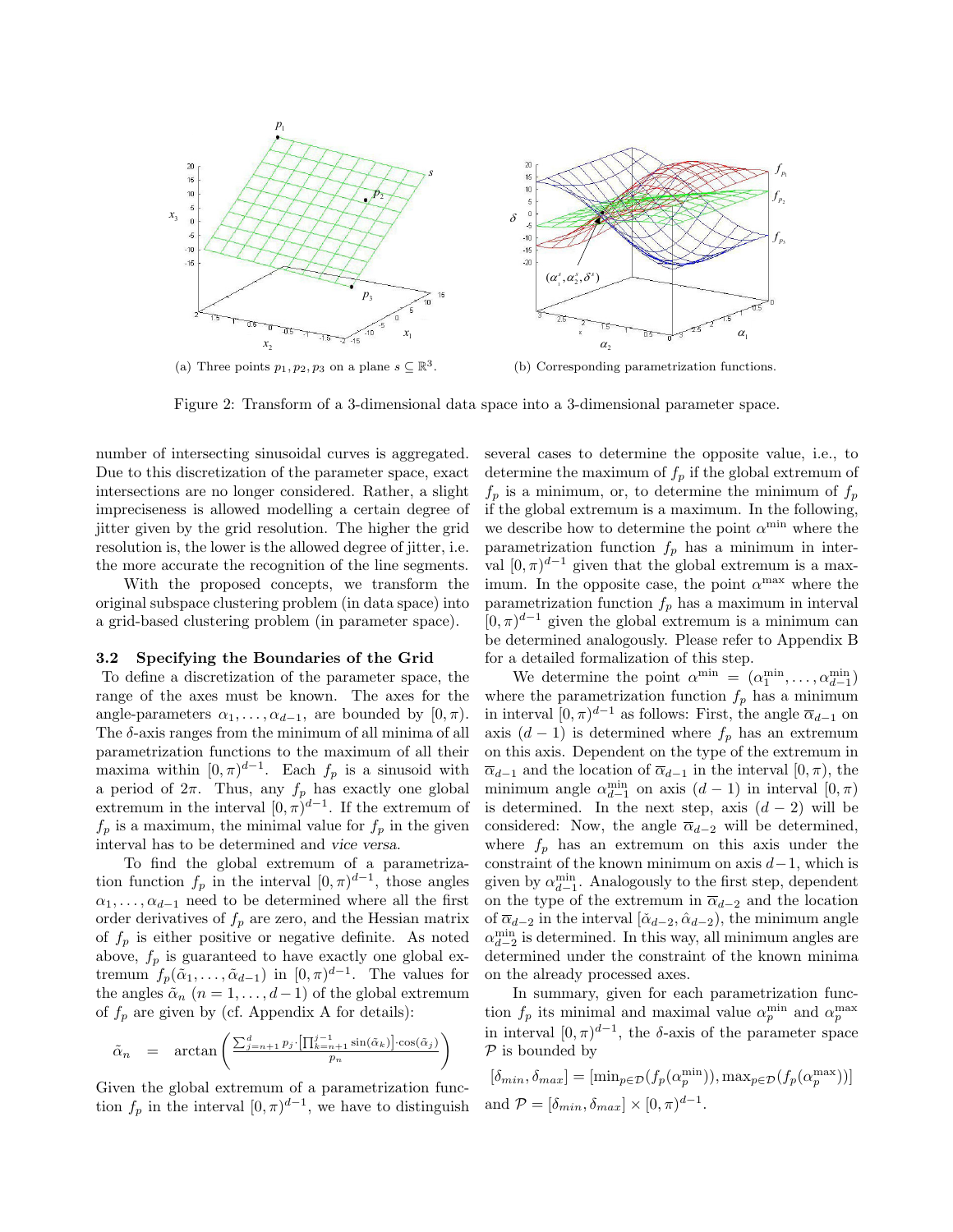

Figure 2: Transform of a 3-dimensional data space into a 3-dimensional parameter space.

number of intersecting sinusoidal curves is aggregated. Due to this discretization of the parameter space, exact intersections are no longer considered. Rather, a slight impreciseness is allowed modelling a certain degree of jitter given by the grid resolution. The higher the grid resolution is, the lower is the allowed degree of jitter, i.e. the more accurate the recognition of the line segments.

With the proposed concepts, we transform the original subspace clustering problem (in data space) into a grid-based clustering problem (in parameter space).

#### **3.2 Specifying the Boundaries of the Grid**

To define a discretization of the parameter space, the range of the axes must be known. The axes for the angle-parameters  $\alpha_1, \ldots, \alpha_{d-1}$ , are bounded by  $[0, \pi)$ . The  $\delta$ -axis ranges from the minimum of all minima of all parametrization functions to the maximum of all their maxima within  $[0, \pi)^{d-1}$ . Each  $f_p$  is a sinusoid with a period of  $2\pi$ . Thus, any  $f_p$  has exactly one global extremum in the interval  $[0, \pi)^{d-1}$ . If the extremum of  $f_p$  is a maximum, the minimal value for  $f_p$  in the given interval has to be determined and vice versa.

To find the global extremum of a parametrization function  $f_p$  in the interval  $[0, \pi)^{d-1}$ , those angles  $\alpha_1, \ldots, \alpha_{d-1}$  need to be determined where all the first order derivatives of  $f_p$  are zero, and the Hessian matrix of  $f_p$  is either positive or negative definite. As noted above,  $f_p$  is guaranteed to have exactly one global extremum  $f_p(\tilde{\alpha}_1,\ldots,\tilde{\alpha}_{d-1})$  in  $[0,\pi)^{d-1}$ . The values for the angles  $\tilde{\alpha}_n$  ( $n = 1, \ldots, d-1$ ) of the global extremum of  $f_p$  are given by (cf. Appendix A for details):

$$
\tilde{\alpha}_n = \arctan\left(\frac{\sum_{j=n+1}^d p_j \cdot \left[\prod_{k=n+1}^{j-1} \sin(\tilde{\alpha}_k)\right] \cdot \cos(\tilde{\alpha}_j)}{p_n}\right)
$$

Given the global extremum of a parametrization function  $f_p$  in the interval  $[0, \pi)^{d-1}$ , we have to distinguish several cases to determine the opposite value, i.e., to determine the maximum of  $f_p$  if the global extremum of  $f_p$  is a minimum, or, to determine the minimum of  $f_p$ if the global extremum is a maximum. In the following, we describe how to determine the point  $\alpha^{\min}$  where the parametrization function  $f_p$  has a minimum in interval  $[0, \pi)^{d-1}$  given that the global extremum is a maximum. In the opposite case, the point  $\alpha^{\text{max}}$  where the parametrization function  $f_p$  has a maximum in interval  $[0, \pi)^{d-1}$  given the global extremum is a minimum can be determined analogously. Please refer to Appendix B for a detailed formalization of this step.

We determine the point  $\alpha^{\min} = (\alpha^{\min}_1, \dots, \alpha^{\min}_{d-1})$ where the parametrization function  $f_p$  has a minimum in interval  $[0, \pi)^{d-1}$  as follows: First, the angle  $\overline{\alpha}_{d-1}$  on axis  $(d-1)$  is determined where  $f_p$  has an extremum on this axis. Dependent on the type of the extremum in  $\overline{\alpha}_{d-1}$  and the location of  $\overline{\alpha}_{d-1}$  in the interval  $[0, \pi)$ , the minimum angle  $\alpha_{d-1}^{\min}$  on axis  $(d-1)$  in interval  $[0, \pi)$ is determined. In the next step, axis  $(d-2)$  will be considered: Now, the angle  $\overline{\alpha}_{d-2}$  will be determined, where  $f_p$  has an extremum on this axis under the constraint of the known minimum on axis  $d-1$ , which is given by  $\alpha_{d-1}^{\min}$ . Analogously to the first step, dependent on the type of the extremum in  $\overline{\alpha}_{d-2}$  and the location of  $\bar{\alpha}_{d-2}$  in the interval  $[\tilde{\alpha}_{d-2}, \hat{\alpha}_{d-2})$ , the minimum angle  $\alpha_{d-2}^{\min}$  is determined. In this way, all minimum angles are determined under the constraint of the known minima on the already processed axes.

In summary, given for each parametrization function  $f_p$  its minimal and maximal value  $\alpha_n^{\min}$  and  $\alpha_n^{\max}$ in interval  $[0, \pi)^{d-1}$ , the δ-axis of the parameter space  $P$  is bounded by

$$
[\delta_{min}, \delta_{max}] = [\min_{p \in \mathcal{D}} (f_p(\alpha_p^{\min})), \max_{p \in \mathcal{D}} (f_p(\alpha_p^{\max}))]
$$
  
and  $\mathcal{P} = [\delta_{min}, \delta_{max}] \times [0, \pi)^{d-1}$ .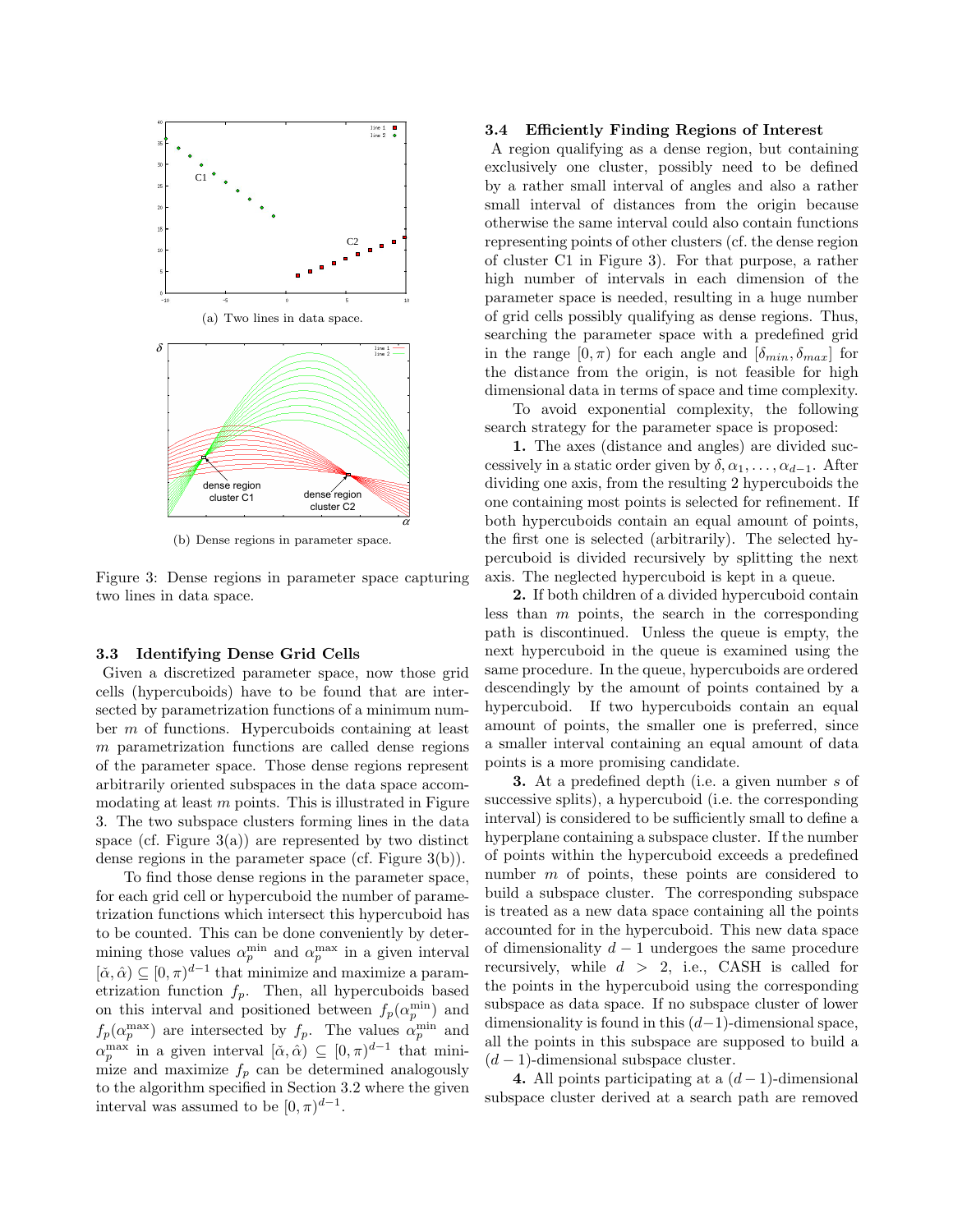

(b) Dense regions in parameter space.

Figure 3: Dense regions in parameter space capturing two lines in data space.

## **3.3 Identifying Dense Grid Cells**

Given a discretized parameter space, now those grid cells (hypercuboids) have to be found that are intersected by parametrization functions of a minimum number m of functions. Hypercuboids containing at least m parametrization functions are called dense regions of the parameter space. Those dense regions represent arbitrarily oriented subspaces in the data space accommodating at least  $m$  points. This is illustrated in Figure 3. The two subspace clusters forming lines in the data space (cf. Figure  $3(a)$ ) are represented by two distinct dense regions in the parameter space (cf. Figure 3(b)).

To find those dense regions in the parameter space, for each grid cell or hypercuboid the number of parametrization functions which intersect this hypercuboid has to be counted. This can be done conveniently by determining those values  $\alpha_n^{\min}$  and  $\alpha_n^{\max}$  in a given interval  $[\check{\alpha}, \hat{\alpha}) \subseteq [0, \pi)^{d-1}$  that minimize and maximize a parametrization function  $f_p$ . Then, all hypercuboids based on this interval and positioned between  $f_p(\alpha_p^{\min})$  and  $f_p(\alpha_p^{\max})$  are intersected by  $f_p$ . The values  $\alpha_p^{\min}$  and  $\alpha_p^{\max}$  in a given interval  $[\check{\alpha}, \hat{\alpha}) \subseteq [0, \pi)^{d-1}$  that minimize and maximize  $f_p$  can be determined analogously to the algorithm specified in Section 3.2 where the given interval was assumed to be  $[0, \pi)^{d-1}$ .

#### **3.4 Efficiently Finding Regions of Interest**

A region qualifying as a dense region, but containing exclusively one cluster, possibly need to be defined by a rather small interval of angles and also a rather small interval of distances from the origin because otherwise the same interval could also contain functions representing points of other clusters (cf. the dense region of cluster C1 in Figure 3). For that purpose, a rather high number of intervals in each dimension of the parameter space is needed, resulting in a huge number of grid cells possibly qualifying as dense regions. Thus, searching the parameter space with a predefined grid in the range  $[0, \pi)$  for each angle and  $[\delta_{min}, \delta_{max}]$  for the distance from the origin, is not feasible for high dimensional data in terms of space and time complexity.

To avoid exponential complexity, the following search strategy for the parameter space is proposed:

**1.** The axes (distance and angles) are divided successively in a static order given by  $\delta, \alpha_1, \ldots, \alpha_{d-1}$ . After dividing one axis, from the resulting 2 hypercuboids the one containing most points is selected for refinement. If both hypercuboids contain an equal amount of points, the first one is selected (arbitrarily). The selected hypercuboid is divided recursively by splitting the next axis. The neglected hypercuboid is kept in a queue.

**2.** If both children of a divided hypercuboid contain less than  $m$  points, the search in the corresponding path is discontinued. Unless the queue is empty, the next hypercuboid in the queue is examined using the same procedure. In the queue, hypercuboids are ordered descendingly by the amount of points contained by a hypercuboid. If two hypercuboids contain an equal amount of points, the smaller one is preferred, since a smaller interval containing an equal amount of data points is a more promising candidate.

**3.** At a predefined depth (i.e. a given number s of successive splits), a hypercuboid (i.e. the corresponding interval) is considered to be sufficiently small to define a hyperplane containing a subspace cluster. If the number of points within the hypercuboid exceeds a predefined number m of points, these points are considered to build a subspace cluster. The corresponding subspace is treated as a new data space containing all the points accounted for in the hypercuboid. This new data space of dimensionality  $d-1$  undergoes the same procedure recursively, while  $d > 2$ , i.e., CASH is called for the points in the hypercuboid using the corresponding subspace as data space. If no subspace cluster of lower dimensionality is found in this  $(d-1)$ -dimensional space, all the points in this subspace are supposed to build a  $(d-1)$ -dimensional subspace cluster.

**4.** All points participating at a  $(d-1)$ -dimensional subspace cluster derived at a search path are removed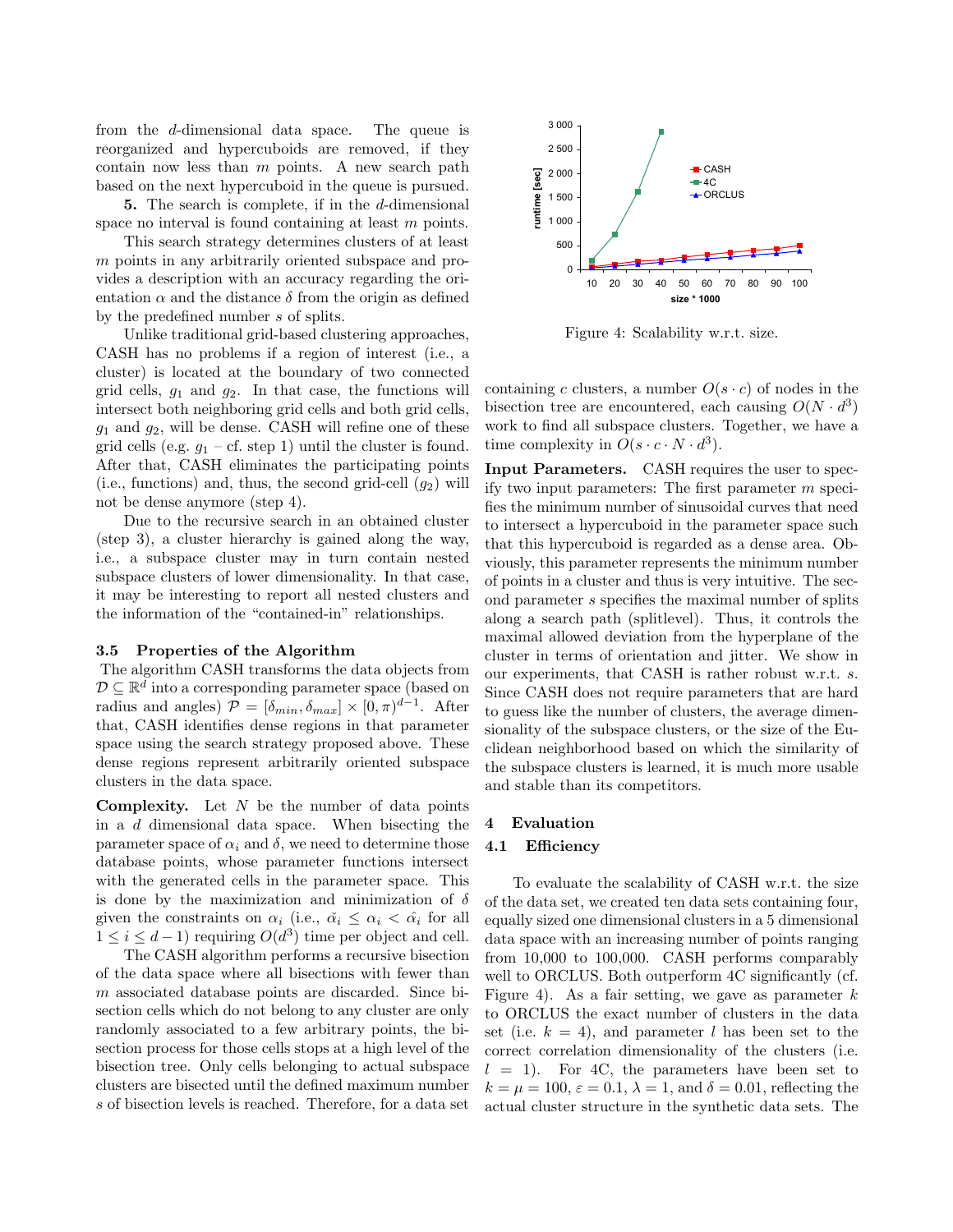from the d-dimensional data space. The queue is reorganized and hypercuboids are removed, if they contain now less than  $m$  points. A new search path based on the next hypercuboid in the queue is pursued.

**5.** The search is complete, if in the d-dimensional space no interval is found containing at least m points.

This search strategy determines clusters of at least m points in any arbitrarily oriented subspace and provides a description with an accuracy regarding the orientation  $\alpha$  and the distance  $\delta$  from the origin as defined by the predefined number s of splits.

Unlike traditional grid-based clustering approaches, CASH has no problems if a region of interest (i.e., a cluster) is located at the boundary of two connected grid cells,  $g_1$  and  $g_2$ . In that case, the functions will intersect both neighboring grid cells and both grid cells,  $g_1$  and  $g_2$ , will be dense. CASH will refine one of these grid cells (e.g.  $q_1$  – cf. step 1) until the cluster is found. After that, CASH eliminates the participating points (i.e., functions) and, thus, the second grid-cell  $(q_2)$  will not be dense anymore (step 4).

Due to the recursive search in an obtained cluster (step 3), a cluster hierarchy is gained along the way, i.e., a subspace cluster may in turn contain nested subspace clusters of lower dimensionality. In that case, it may be interesting to report all nested clusters and the information of the "contained-in" relationships.

## **3.5 Properties of the Algorithm**

The algorithm CASH transforms the data objects from  $D \subseteq \mathbb{R}^d$  into a corresponding parameter space (based on radius and angles)  $\mathcal{P} = [\delta_{min}, \delta_{max}] \times [0, \pi)^{d-1}$ . After that, CASH identifies dense regions in that parameter space using the search strategy proposed above. These dense regions represent arbitrarily oriented subspace clusters in the data space.

**Complexity.** Let N be the number of data points in a d dimensional data space. When bisecting the parameter space of  $\alpha_i$  and  $\delta$ , we need to determine those database points, whose parameter functions intersect with the generated cells in the parameter space. This is done by the maximization and minimization of  $\delta$ given the constraints on  $\alpha_i$  (i.e.,  $\check{\alpha}_i \leq \alpha_i < \hat{\alpha}_i$  for all  $1 \leq i \leq d-1$ ) requiring  $O(d^3)$  time per object and cell.

The CASH algorithm performs a recursive bisection of the data space where all bisections with fewer than m associated database points are discarded. Since bisection cells which do not belong to any cluster are only randomly associated to a few arbitrary points, the bisection process for those cells stops at a high level of the bisection tree. Only cells belonging to actual subspace clusters are bisected until the defined maximum number s of bisection levels is reached. Therefore, for a data set



Figure 4: Scalability w.r.t. size.

containing c clusters, a number  $O(s \cdot c)$  of nodes in the bisection tree are encountered, each causing  $O(N \cdot d^3)$ work to find all subspace clusters. Together, we have a time complexity in  $O(s \cdot c \cdot N \cdot d^3)$ .

**Input Parameters.** CASH requires the user to specify two input parameters: The first parameter m specifies the minimum number of sinusoidal curves that need to intersect a hypercuboid in the parameter space such that this hypercuboid is regarded as a dense area. Obviously, this parameter represents the minimum number of points in a cluster and thus is very intuitive. The second parameter s specifies the maximal number of splits along a search path (splitlevel). Thus, it controls the maximal allowed deviation from the hyperplane of the cluster in terms of orientation and jitter. We show in our experiments, that CASH is rather robust w.r.t. s. Since CASH does not require parameters that are hard to guess like the number of clusters, the average dimensionality of the subspace clusters, or the size of the Euclidean neighborhood based on which the similarity of the subspace clusters is learned, it is much more usable and stable than its competitors.

#### **4 Evaluation**

# **4.1 Efficiency**

To evaluate the scalability of CASH w.r.t. the size of the data set, we created ten data sets containing four, equally sized one dimensional clusters in a 5 dimensional data space with an increasing number of points ranging from 10,000 to 100,000. CASH performs comparably well to ORCLUS. Both outperform 4C significantly (cf. Figure 4). As a fair setting, we gave as parameter  $k$ to ORCLUS the exact number of clusters in the data set (i.e.  $k = 4$ ), and parameter l has been set to the correct correlation dimensionality of the clusters (i.e.  $l = 1$ ). For 4C, the parameters have been set to  $k = \mu = 100$ ,  $\varepsilon = 0.1$ ,  $\lambda = 1$ , and  $\delta = 0.01$ , reflecting the actual cluster structure in the synthetic data sets. The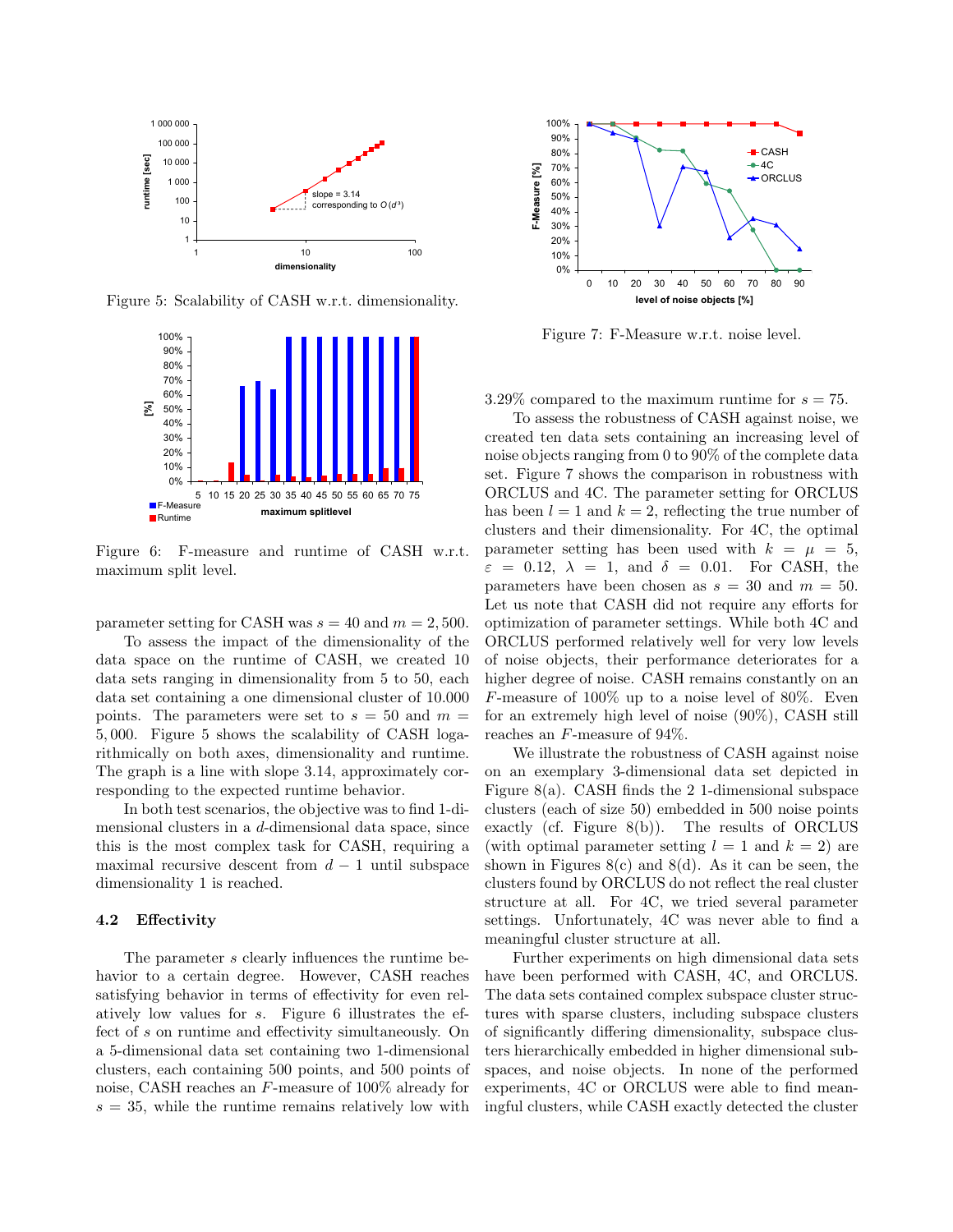

Figure 5: Scalability of CASH w.r.t. dimensionality.



Figure 6: F-measure and runtime of CASH w.r.t. maximum split level.

parameter setting for CASH was  $s = 40$  and  $m = 2,500$ .

To assess the impact of the dimensionality of the data space on the runtime of CASH, we created 10 data sets ranging in dimensionality from 5 to 50, each data set containing a one dimensional cluster of 10.000 points. The parameters were set to  $s = 50$  and  $m =$ 5, 000. Figure 5 shows the scalability of CASH logarithmically on both axes, dimensionality and runtime. The graph is a line with slope 3.14, approximately corresponding to the expected runtime behavior.

In both test scenarios, the objective was to find 1-dimensional clusters in a d-dimensional data space, since this is the most complex task for CASH, requiring a maximal recursive descent from  $d-1$  until subspace dimensionality 1 is reached.

#### **4.2 Effectivity**

The parameter s clearly influences the runtime behavior to a certain degree. However, CASH reaches satisfying behavior in terms of effectivity for even relatively low values for s. Figure 6 illustrates the effect of s on runtime and effectivity simultaneously. On a 5-dimensional data set containing two 1-dimensional clusters, each containing 500 points, and 500 points of noise, CASH reaches an F-measure of 100% already for  $s = 35$ , while the runtime remains relatively low with



Figure 7: F-Measure w.r.t. noise level.

3.29% compared to the maximum runtime for  $s = 75$ .

To assess the robustness of CASH against noise, we created ten data sets containing an increasing level of noise objects ranging from 0 to 90% of the complete data set. Figure 7 shows the comparison in robustness with ORCLUS and 4C. The parameter setting for ORCLUS has been  $l = 1$  and  $k = 2$ , reflecting the true number of clusters and their dimensionality. For 4C, the optimal parameter setting has been used with  $k = \mu = 5$ ,  $\varepsilon = 0.12$ ,  $\lambda = 1$ , and  $\delta = 0.01$ . For CASH, the parameters have been chosen as  $s = 30$  and  $m = 50$ . Let us note that CASH did not require any efforts for optimization of parameter settings. While both 4C and ORCLUS performed relatively well for very low levels of noise objects, their performance deteriorates for a higher degree of noise. CASH remains constantly on an F-measure of 100% up to a noise level of 80%. Even for an extremely high level of noise (90%), CASH still reaches an F-measure of 94%.

We illustrate the robustness of CASH against noise on an exemplary 3-dimensional data set depicted in Figure 8(a). CASH finds the 2 1-dimensional subspace clusters (each of size 50) embedded in 500 noise points exactly (cf. Figure 8(b)). The results of ORCLUS (with optimal parameter setting  $l = 1$  and  $k = 2$ ) are shown in Figures  $8(c)$  and  $8(d)$ . As it can be seen, the clusters found by ORCLUS do not reflect the real cluster structure at all. For 4C, we tried several parameter settings. Unfortunately, 4C was never able to find a meaningful cluster structure at all.

Further experiments on high dimensional data sets have been performed with CASH, 4C, and ORCLUS. The data sets contained complex subspace cluster structures with sparse clusters, including subspace clusters of significantly differing dimensionality, subspace clusters hierarchically embedded in higher dimensional subspaces, and noise objects. In none of the performed experiments, 4C or ORCLUS were able to find meaningful clusters, while CASH exactly detected the cluster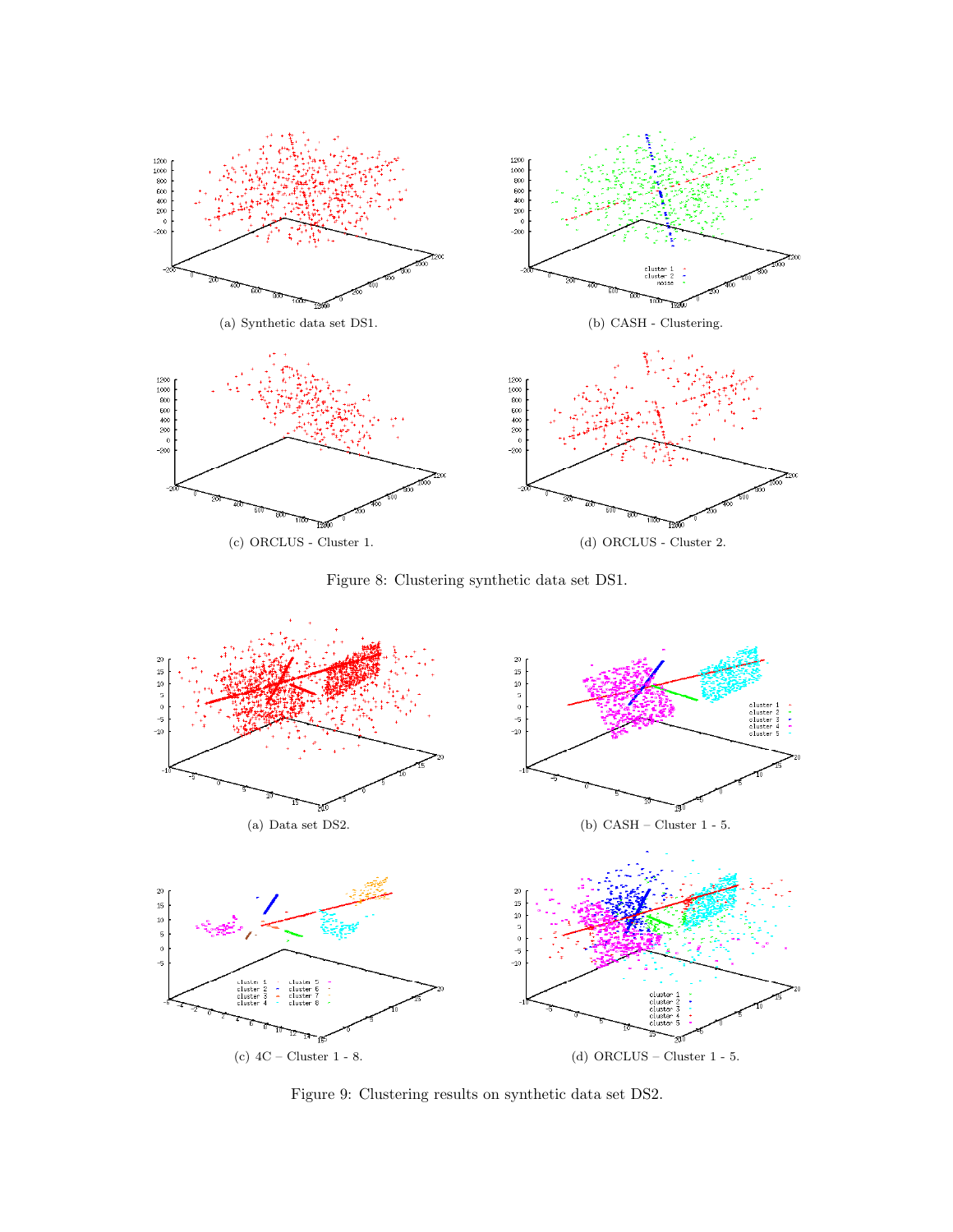

Figure 8: Clustering synthetic data set DS1.



Figure 9: Clustering results on synthetic data set DS2.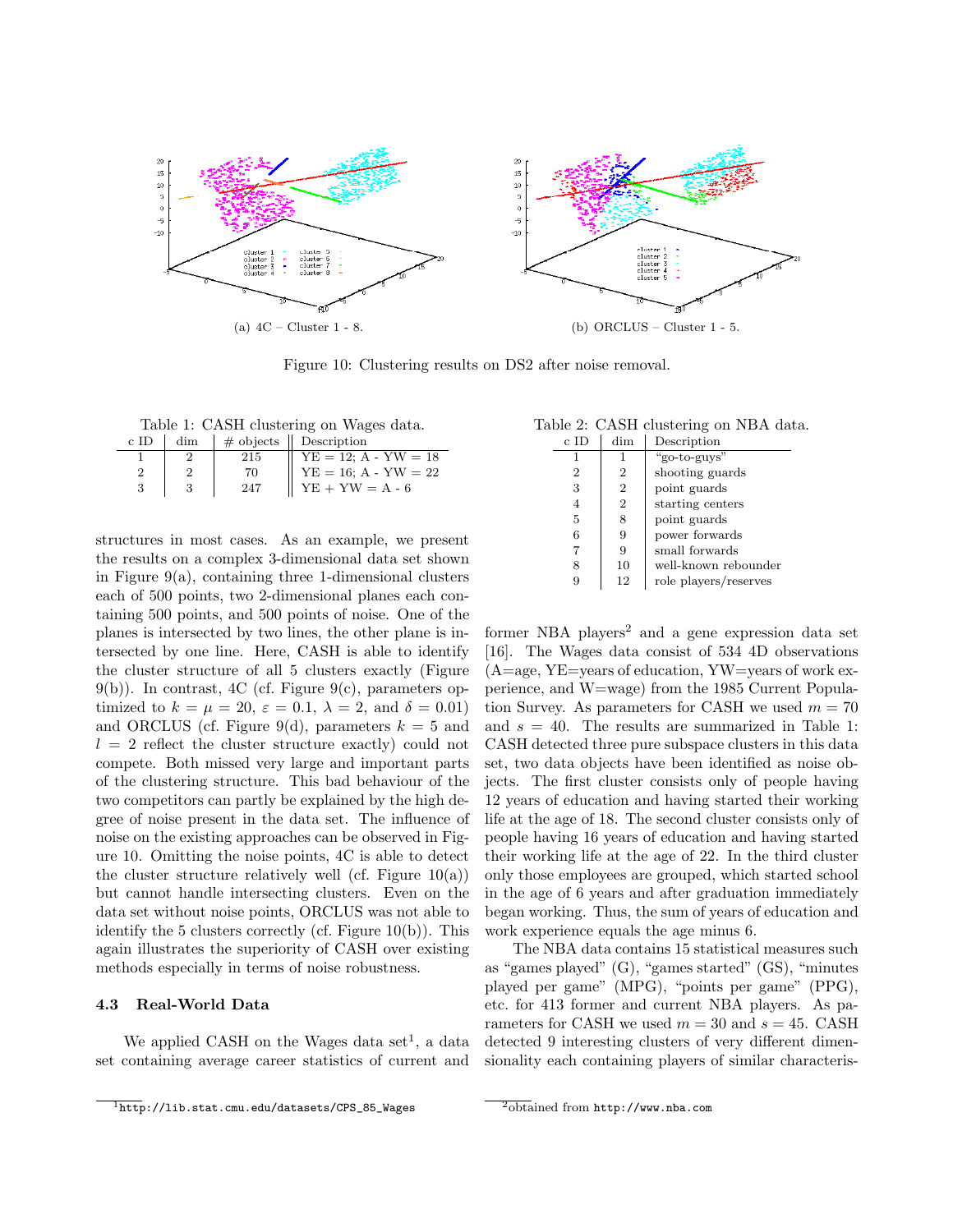

Figure 10: Clustering results on DS2 after noise removal.

Table 1: CASH clustering on Wages data.

| c ID | dim |     | $\#$ objects $\parallel$ Description |
|------|-----|-----|--------------------------------------|
|      |     | 215 | $YE = 12$ ; $A - YW = 18$            |
|      |     | 70  | $YE = 16$ ; A - $YW = 22$            |
|      |     | 247 | $YE + YW = A - 6$                    |

structures in most cases. As an example, we present the results on a complex 3-dimensional data set shown in Figure  $9(a)$ , containing three 1-dimensional clusters each of 500 points, two 2-dimensional planes each containing 500 points, and 500 points of noise. One of the planes is intersected by two lines, the other plane is intersected by one line. Here, CASH is able to identify the cluster structure of all 5 clusters exactly (Figure  $9(b)$ ). In contrast, 4C (cf. Figure  $9(c)$ , parameters optimized to  $k = \mu = 20$ ,  $\varepsilon = 0.1$ ,  $\lambda = 2$ , and  $\delta = 0.01$ ) and ORCLUS (cf. Figure 9(d), parameters  $k = 5$  and  $l = 2$  reflect the cluster structure exactly) could not compete. Both missed very large and important parts of the clustering structure. This bad behaviour of the two competitors can partly be explained by the high degree of noise present in the data set. The influence of noise on the existing approaches can be observed in Figure 10. Omitting the noise points, 4C is able to detect the cluster structure relatively well (cf. Figure  $10(a)$ ) but cannot handle intersecting clusters. Even on the data set without noise points, ORCLUS was not able to identify the 5 clusters correctly (cf. Figure 10(b)). This again illustrates the superiority of CASH over existing methods especially in terms of noise robustness.

#### **4.3 Real-World Data**

We applied CASH on the Wages data set<sup>1</sup>, a data set containing average career statistics of current and

Table 2: CASH clustering on NBA data.

| c ID | dim            | Description           |
|------|----------------|-----------------------|
| 1    | 1              | "go-to-guys"          |
| 2    | 2              | shooting guards       |
| 3    | $\overline{2}$ | point guards          |
| 4    | $\overline{2}$ | starting centers      |
| 5    | 8              | point guards          |
| 6    | 9              | power forwards        |
|      | 9              | small forwards        |
| 8    | 10             | well-known rebounder  |
|      | 12             | role players/reserves |

former NBA players<sup>2</sup> and a gene expression data set [16]. The Wages data consist of 534 4D observations  $(A=age, YE=years of education, YW=years of work ex$ perience, and W=wage) from the 1985 Current Population Survey. As parameters for CASH we used  $m = 70$ and  $s = 40$ . The results are summarized in Table 1: CASH detected three pure subspace clusters in this data set, two data objects have been identified as noise objects. The first cluster consists only of people having 12 years of education and having started their working life at the age of 18. The second cluster consists only of people having 16 years of education and having started their working life at the age of 22. In the third cluster only those employees are grouped, which started school in the age of 6 years and after graduation immediately began working. Thus, the sum of years of education and work experience equals the age minus 6.

The NBA data contains 15 statistical measures such as "games played" (G), "games started" (GS), "minutes played per game" (MPG), "points per game" (PPG), etc. for 413 former and current NBA players. As parameters for CASH we used  $m = 30$  and  $s = 45$ . CASH detected 9 interesting clusters of very different dimensionality each containing players of similar characteris-

 $\overline{1_{\text{http://lib.stat.cmu.edu/datasets/CPS_85_Wages}}}$ 

 $\frac{2}{3}$ obtained from http://www.nba.com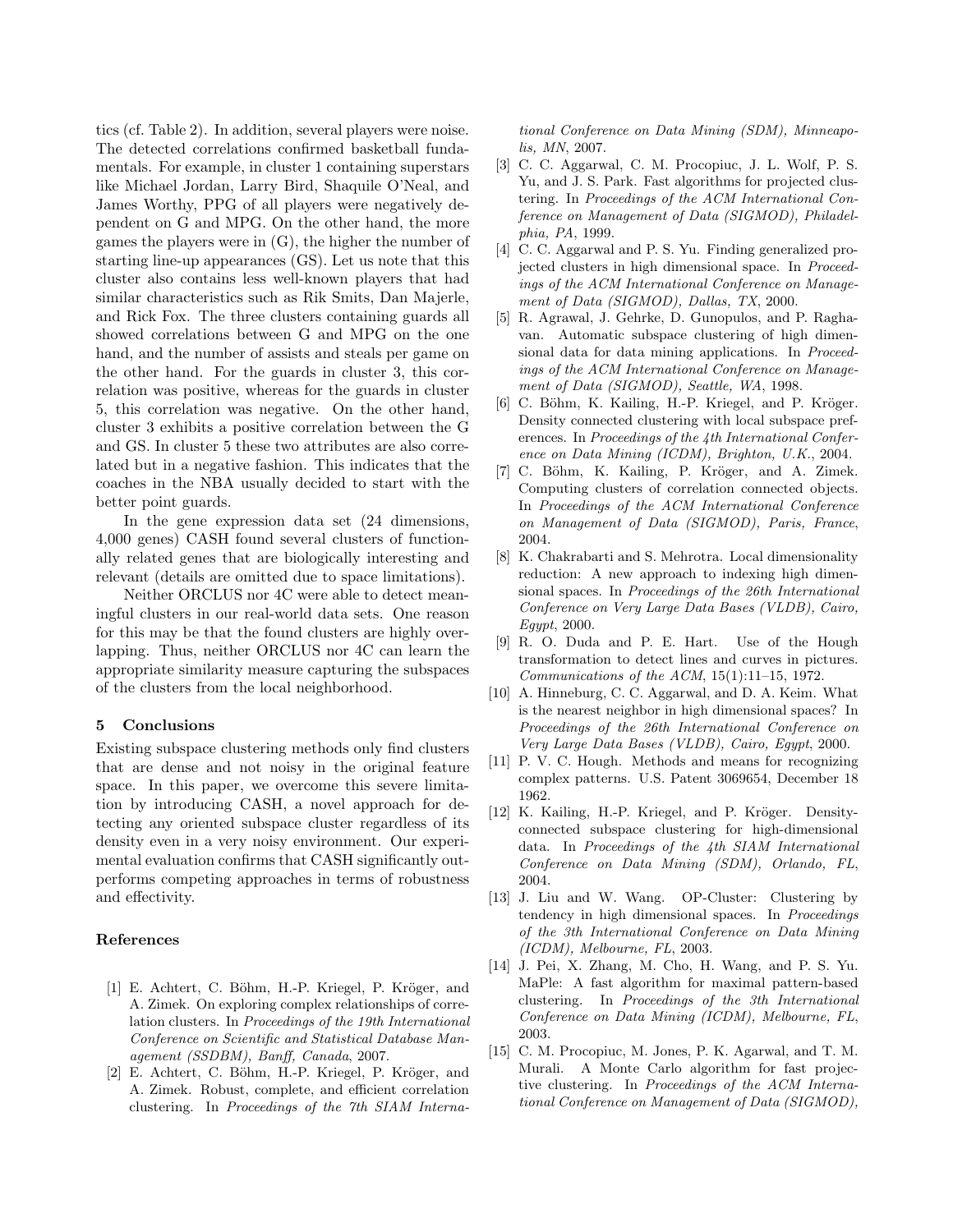tics (cf. Table 2). In addition, several players were noise. The detected correlations confirmed basketball fundamentals. For example, in cluster 1 containing superstars like Michael Jordan, Larry Bird, Shaquile O'Neal, and James Worthy, PPG of all players were negatively dependent on G and MPG. On the other hand, the more games the players were in (G), the higher the number of starting line-up appearances (GS). Let us note that this cluster also contains less well-known players that had similar characteristics such as Rik Smits, Dan Majerle, and Rick Fox. The three clusters containing guards all showed correlations between G and MPG on the one hand, and the number of assists and steals per game on the other hand. For the guards in cluster 3, this correlation was positive, whereas for the guards in cluster 5, this correlation was negative. On the other hand, cluster 3 exhibits a positive correlation between the G and GS. In cluster 5 these two attributes are also correlated but in a negative fashion. This indicates that the coaches in the NBA usually decided to start with the better point guards.

In the gene expression data set (24 dimensions, 4,000 genes) CASH found several clusters of functionally related genes that are biologically interesting and relevant (details are omitted due to space limitations).

Neither ORCLUS nor 4C were able to detect meaningful clusters in our real-world data sets. One reason for this may be that the found clusters are highly overlapping. Thus, neither ORCLUS nor 4C can learn the appropriate similarity measure capturing the subspaces of the clusters from the local neighborhood.

## **5 Conclusions**

Existing subspace clustering methods only find clusters that are dense and not noisy in the original feature space. In this paper, we overcome this severe limitation by introducing CASH, a novel approach for detecting any oriented subspace cluster regardless of its density even in a very noisy environment. Our experimental evaluation confirms that CASH significantly outperforms competing approaches in terms of robustness and effectivity.

## **References**

- [1] E. Achtert, C. Böhm, H.-P. Kriegel, P. Kröger, and A. Zimek. On exploring complex relationships of correlation clusters. In Proceedings of the 19th International Conference on Scientific and Statistical Database Management (SSDBM), Banff, Canada, 2007.
- [2] E. Achtert, C. Böhm, H.-P. Kriegel, P. Kröger, and A. Zimek. Robust, complete, and efficient correlation clustering. In Proceedings of the 7th SIAM Interna-

tional Conference on Data Mining (SDM), Minneapolis, MN, 2007.

- [3] C. C. Aggarwal, C. M. Procopiuc, J. L. Wolf, P. S. Yu, and J. S. Park. Fast algorithms for projected clustering. In Proceedings of the ACM International Conference on Management of Data (SIGMOD), Philadelphia, PA, 1999.
- [4] C. C. Aggarwal and P. S. Yu. Finding generalized projected clusters in high dimensional space. In Proceedings of the ACM International Conference on Management of Data (SIGMOD), Dallas, TX, 2000.
- [5] R. Agrawal, J. Gehrke, D. Gunopulos, and P. Raghavan. Automatic subspace clustering of high dimensional data for data mining applications. In Proceedings of the ACM International Conference on Management of Data (SIGMOD), Seattle, WA, 1998.
- [6] C. Böhm, K. Kailing, H.-P. Kriegel, and P. Kröger. Density connected clustering with local subspace preferences. In Proceedings of the 4th International Conference on Data Mining (ICDM), Brighton, U.K., 2004.
- [7] C. Böhm, K. Kailing, P. Kröger, and A. Zimek. Computing clusters of correlation connected objects. In Proceedings of the ACM International Conference on Management of Data (SIGMOD), Paris, France, 2004.
- [8] K. Chakrabarti and S. Mehrotra. Local dimensionality reduction: A new approach to indexing high dimensional spaces. In Proceedings of the 26th International Conference on Very Large Data Bases (VLDB), Cairo, Egypt, 2000.
- [9] R. O. Duda and P. E. Hart. Use of the Hough transformation to detect lines and curves in pictures. Communications of the ACM, 15(1):11–15, 1972.
- [10] A. Hinneburg, C. C. Aggarwal, and D. A. Keim. What is the nearest neighbor in high dimensional spaces? In Proceedings of the 26th International Conference on Very Large Data Bases (VLDB), Cairo, Egypt, 2000.
- [11] P. V. C. Hough. Methods and means for recognizing complex patterns. U.S. Patent 3069654, December 18 1962.
- [12] K. Kailing, H.-P. Kriegel, and P. Kröger. Densityconnected subspace clustering for high-dimensional data. In Proceedings of the 4th SIAM International Conference on Data Mining (SDM), Orlando, FL, 2004.
- [13] J. Liu and W. Wang. OP-Cluster: Clustering by tendency in high dimensional spaces. In Proceedings of the 3th International Conference on Data Mining (ICDM), Melbourne, FL, 2003.
- [14] J. Pei, X. Zhang, M. Cho, H. Wang, and P. S. Yu. MaPle: A fast algorithm for maximal pattern-based clustering. In Proceedings of the 3th International Conference on Data Mining (ICDM), Melbourne, FL, 2003.
- [15] C. M. Procopiuc, M. Jones, P. K. Agarwal, and T. M. Murali. A Monte Carlo algorithm for fast projective clustering. In Proceedings of the ACM International Conference on Management of Data (SIGMOD),